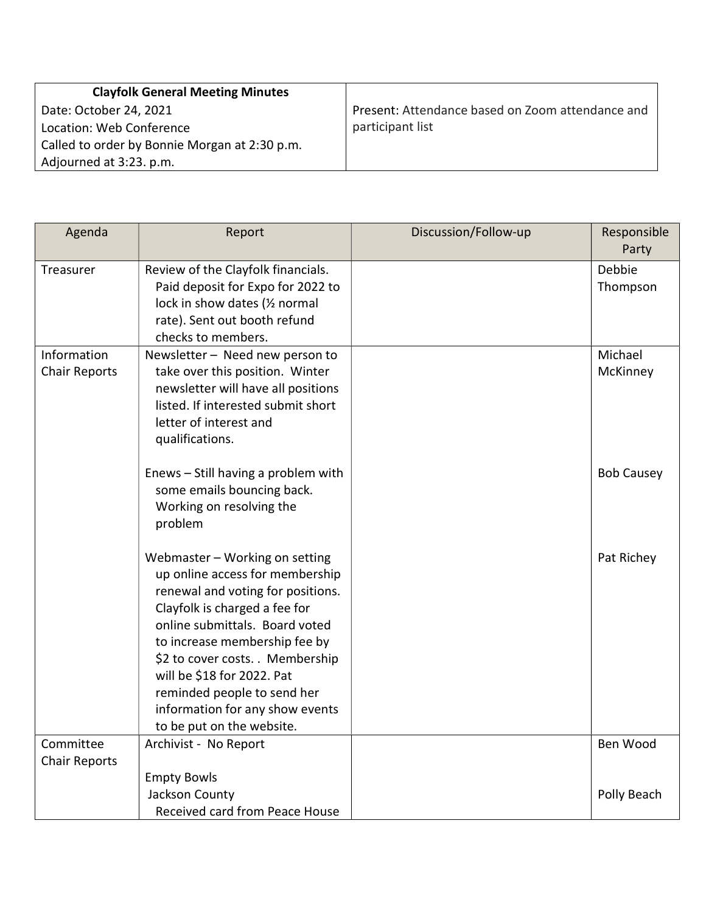| <b>Clayfolk General Meeting Minutes</b>       |                                                  |
|-----------------------------------------------|--------------------------------------------------|
| Date: October 24, 2021                        | Present: Attendance based on Zoom attendance and |
| Location: Web Conference                      | participant list                                 |
| Called to order by Bonnie Morgan at 2:30 p.m. |                                                  |
| Adjourned at 3:23. p.m.                       |                                                  |

| Agenda                              | Report                                                                                                                                                                                                                                                                                                                                                                      | Discussion/Follow-up | Responsible<br>Party |
|-------------------------------------|-----------------------------------------------------------------------------------------------------------------------------------------------------------------------------------------------------------------------------------------------------------------------------------------------------------------------------------------------------------------------------|----------------------|----------------------|
| Treasurer                           | Review of the Clayfolk financials.<br>Paid deposit for Expo for 2022 to<br>lock in show dates (1/2 normal<br>rate). Sent out booth refund<br>checks to members.                                                                                                                                                                                                             |                      | Debbie<br>Thompson   |
| Information<br><b>Chair Reports</b> | Newsletter - Need new person to<br>take over this position. Winter<br>newsletter will have all positions<br>listed. If interested submit short<br>letter of interest and<br>qualifications.                                                                                                                                                                                 |                      | Michael<br>McKinney  |
|                                     | Enews - Still having a problem with<br>some emails bouncing back.<br>Working on resolving the<br>problem                                                                                                                                                                                                                                                                    |                      | <b>Bob Causey</b>    |
|                                     | Webmaster - Working on setting<br>up online access for membership<br>renewal and voting for positions.<br>Clayfolk is charged a fee for<br>online submittals. Board voted<br>to increase membership fee by<br>\$2 to cover costs. . Membership<br>will be \$18 for 2022. Pat<br>reminded people to send her<br>information for any show events<br>to be put on the website. |                      | Pat Richey           |
| Committee<br><b>Chair Reports</b>   | Archivist - No Report                                                                                                                                                                                                                                                                                                                                                       |                      | Ben Wood             |
|                                     | <b>Empty Bowls</b><br>Jackson County<br>Received card from Peace House                                                                                                                                                                                                                                                                                                      |                      | Polly Beach          |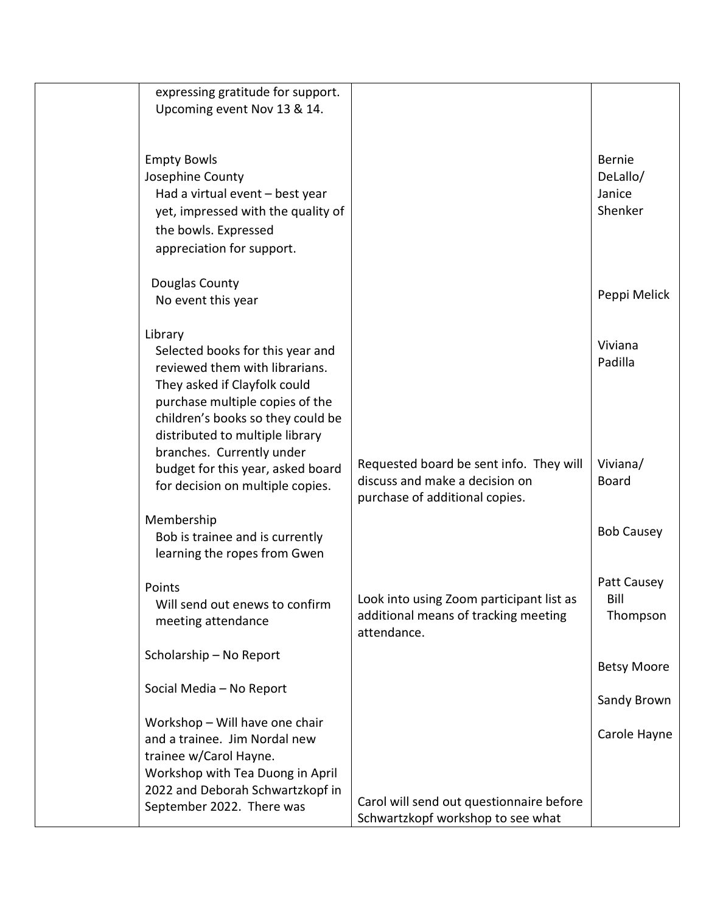| expressing gratitude for support.<br>Upcoming event Nov 13 & 14.                                                                                                                                                         |                                                                                                             |                                                |
|--------------------------------------------------------------------------------------------------------------------------------------------------------------------------------------------------------------------------|-------------------------------------------------------------------------------------------------------------|------------------------------------------------|
|                                                                                                                                                                                                                          |                                                                                                             |                                                |
| <b>Empty Bowls</b><br>Josephine County<br>Had a virtual event - best year<br>yet, impressed with the quality of<br>the bowls. Expressed<br>appreciation for support.                                                     |                                                                                                             | <b>Bernie</b><br>DeLallo/<br>Janice<br>Shenker |
| Douglas County<br>No event this year                                                                                                                                                                                     |                                                                                                             | Peppi Melick                                   |
| Library<br>Selected books for this year and<br>reviewed them with librarians.<br>They asked if Clayfolk could<br>purchase multiple copies of the<br>children's books so they could be<br>distributed to multiple library |                                                                                                             | Viviana<br>Padilla                             |
| branches. Currently under<br>budget for this year, asked board<br>for decision on multiple copies.                                                                                                                       | Requested board be sent info. They will<br>discuss and make a decision on<br>purchase of additional copies. | Viviana/<br><b>Board</b>                       |
| Membership<br>Bob is trainee and is currently<br>learning the ropes from Gwen                                                                                                                                            |                                                                                                             | <b>Bob Causey</b>                              |
| Points<br>Will send out enews to confirm<br>meeting attendance                                                                                                                                                           | Look into using Zoom participant list as<br>additional means of tracking meeting<br>attendance.             | Patt Causey<br>Bill<br>Thompson                |
| Scholarship - No Report                                                                                                                                                                                                  |                                                                                                             | <b>Betsy Moore</b>                             |
| Social Media - No Report                                                                                                                                                                                                 |                                                                                                             | Sandy Brown                                    |
| Workshop - Will have one chair<br>and a trainee. Jim Nordal new<br>trainee w/Carol Hayne.<br>Workshop with Tea Duong in April                                                                                            |                                                                                                             | Carole Hayne                                   |
| 2022 and Deborah Schwartzkopf in<br>September 2022. There was                                                                                                                                                            | Carol will send out questionnaire before<br>Schwartzkopf workshop to see what                               |                                                |